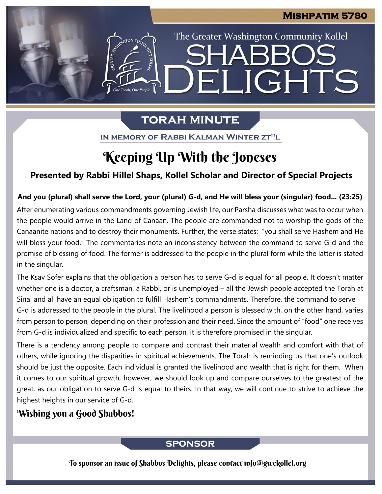The Greater Washington Community Kollel

ELIGHTS

## **TORAH MINUTE**

IN MEMORY OF RABBI KALMAN WINTER ZT"L

# Keeping Up With the Joneses

## **Presented by Rabbi Hillel Shaps, Kollel Scholar and Director of Special Projects**

### And you (plural) shall serve the Lord, your (plural) G-d, and He will bless your (singular) food... (23:25)

After enumerating various commandments governing Jewish life, our Parsha discusses what was to occur when the people would arrive in the Land of Canaan. The people are commanded not to worship the gods of the Canaanite nations and to destroy their monuments. Further, the verse states: "you shall serve Hashem and He will bless your food." The commentaries note an inconsistency between the command to serve G-d and the promise of blessing of food. The former is addressed to the people in the plural form while the latter is stated in the singular.

The Ksav Sofer explains that the obligation a person has to serve G-d is equal for all people. It doesn't matter whether one is a doctor, a craftsman, a Rabbi, or is unemployed – all the Jewish people accepted the Torah at Sinai and all have an equal obligation to fulfill Hashem's commandments. Therefore, the command to serve G-d is addressed to the people in the plural. The livelihood a person is blessed with, on the other hand, varies from person to person, depending on their profession and their need. Since the amount of "food" one receives from G-d is individualized and specific to each person, it is therefore promised in the singular.

There is a tendency among people to compare and contrast their material wealth and comfort with that of others, while ignoring the disparities in spiritual achievements. The Torah is reminding us that one's outlook should be just the opposite. Each individual is granted the livelihood and wealth that is right for them. When it comes to our spiritual growth, however, we should look up and compare ourselves to the greatest of the great, as our obligation to serve G-d is equal to theirs. In that way, we will continue to strive to achieve the highest heights in our service of G-d.

## Wishing you a Good Shabbos!

## **SPONSOR**

To sponsor an issue of Shabbos Delights, please contact info@gwckollel.org